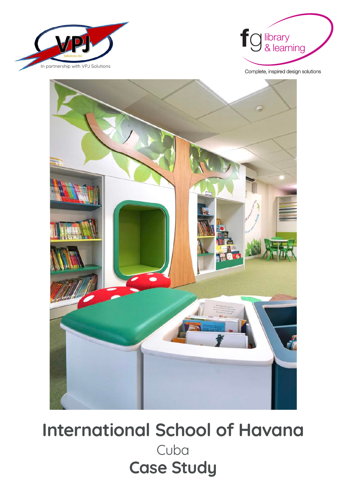



Complete, inspired design solutions



**International School of Havana** Cuba **Case Study**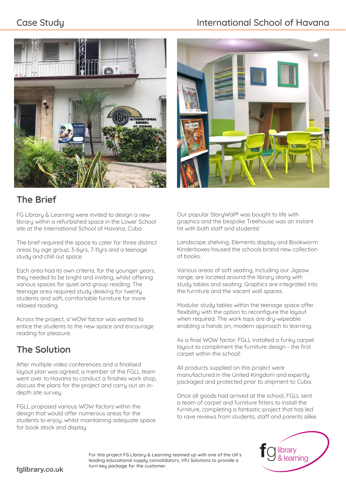# **Case Study Case Study International School of Havana**



# **The Brief**

FG Library & Learning were invited to design a new library within a refurbished space in the Lower School site at the International School of Havana, Cuba.

The brief required the space to cater for three distinct areas by age group; 3-6yrs, 7-11yrs and a teenage study and chill out space.

Each area had its own criteria, for the younger years, they needed to be bright and inviting, whilst offering various spaces for quiet and group reading. The teenage area required study desking for twenty students and soft, comfortable furniture for more relaxed reading.

Across the project, a WOW factor was wanted to entice the students to the new space and encourage reading for pleasure.

# **The Solution**

After multiple video conferences and a finalised layout plan was agreed, a member of the FGLL team went over to Havana to conduct a finishes work shop, discuss the plans for the project and carry out an indepth site survey.

FGLL proposed various WOW factors within the design that would offer numerous areas for the students to enjoy, whilst maintaining adequate space for book stock and display.



Landscape shelving, Elements display and Bookworm Kinderboxes housed the schools brand new collection of books.

Various areas of soft seating, including our Jigsaw range, are located around the library along with study tables and seating. Graphics are integrated into the furniture and the vacant wall spaces.

Modular studu tables within the teenage space offer flexibility with the option to reconfigure the layout when required. The work tops are dry-wipeable enabling a hands on, modern approach to learning.

As a final WOW factor, FGLL installed a funky carpet layout to compliment the furniture design - the first carpet within the school!

All products supplied on this project were manufactured in the United Kingdom and expertly packaged and protected prior to shipment to Cuba.

Once all goods had arrived at the school, FGLL sent a team of carpet and furniture fitters to install the furniture, completing a fantastic project that has led to rave reviews from students, staff and parents alike.



For this project FG Library & Learning teamed up with one of the UK's leading educational supply consolidators, VPJ Solutions to provide a turn key package for the customer.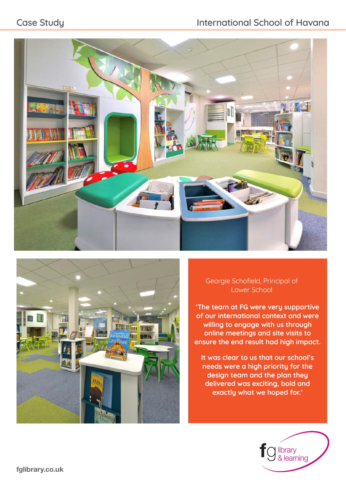# Case Study **International School of Havana**





### Georgie Schofield, Principal of Lower School

**'The team at FG were very supportive of our international context and were willing to engage with us through online meetings and site visits to ensure the end result had high impact.** 

**It was clear to us that our school's needs were a high priority for the design team and the plan they delivered was exciting, bold and exactly what we hoped for.'** 

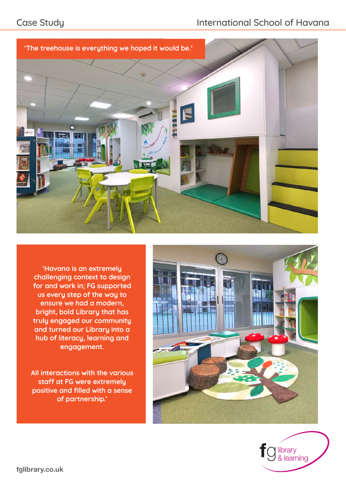

**'Havana is an extremely challenging context to design for and work in; FG supported us every step of the way to ensure we had a modern, bright, bold Library that has truly engaged our community and turned our Library into a hub of literacy, learning and engagement.** 

**All interactions with the various staff at FG were extremely positive and filled with a sense of partnership.'** 



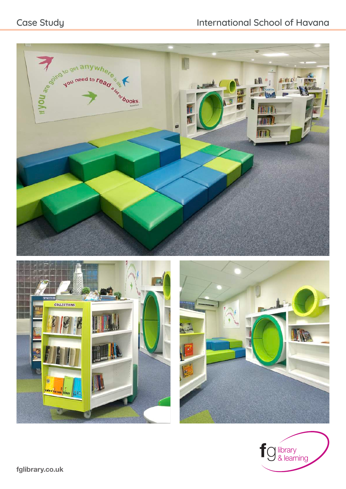# Case Study **International School of Havana**







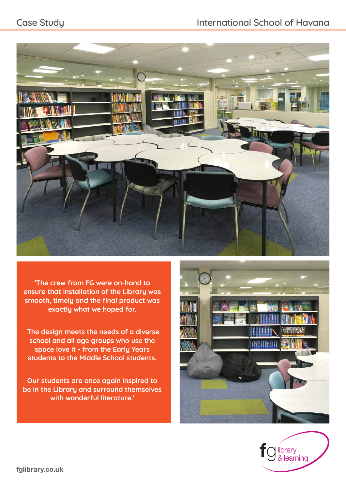# Case Study **International School of Havana**



**'The crew from FG were on-hand to ensure that installation of the Library was smooth, timely and the final product was exactly what we hoped for.** 

 **The design meets the needs of a diverse school and all age groups who use the space love it - from the Early Years students to the Middle School students.**

**Our students are once again inspired to be in the Library and surround themselves with wonderful literature.'**